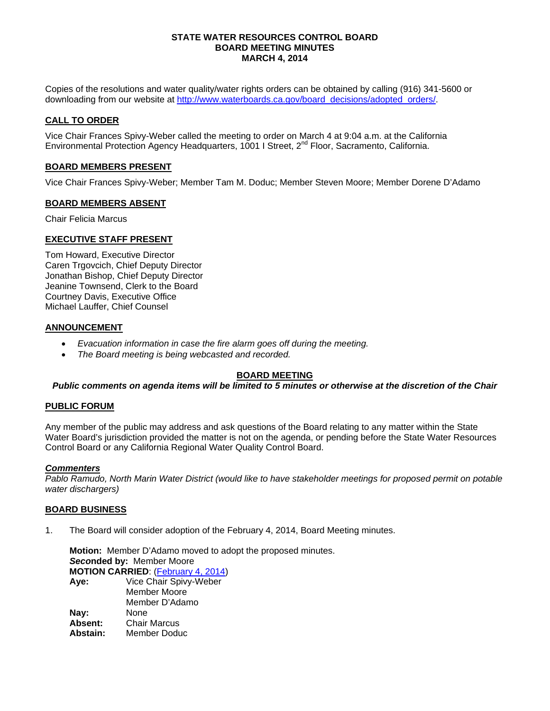#### **STATE WATER RESOURCES CONTROL BOARD BOARD MEETING MINUTES MARCH 4, 2014**

Copies of the resolutions and water quality/water rights orders can be obtained by calling (916) 341-5600 or downloading from our website at [http://www.waterboards.ca.gov/board\\_decisions/adopted\\_orders/.](http://www.waterboards.ca.gov/board_decisions/adopted_orders/)

#### **CALL TO ORDER**

Vice Chair Frances Spivy-Weber called the meeting to order on March 4 at 9:04 a.m. at the California Environmental Protection Agency Headquarters, 1001 I Street, 2<sup>nd</sup> Floor, Sacramento, California.

#### **BOARD MEMBERS PRESENT**

Vice Chair Frances Spivy-Weber; Member Tam M. Doduc; Member Steven Moore; Member Dorene D'Adamo

#### **BOARD MEMBERS ABSENT**

Chair Felicia Marcus

#### **EXECUTIVE STAFF PRESENT**

Tom Howard, Executive Director Caren Trgovcich, Chief Deputy Director Jonathan Bishop, Chief Deputy Director Jeanine Townsend, Clerk to the Board Courtney Davis, Executive Office Michael Lauffer, Chief Counsel

#### **ANNOUNCEMENT**

- *Evacuation information in case the fire alarm goes off during the meeting.*
- *The Board meeting is being webcasted and recorded.*

## **BOARD MEETING**

*Public comments on agenda items will be limited to 5 minutes or otherwise at the discretion of the Chair*

#### **PUBLIC FORUM**

Any member of the public may address and ask questions of the Board relating to any matter within the State Water Board's jurisdiction provided the matter is not on the agenda, or pending before the State Water Resources Control Board or any California Regional Water Quality Control Board.

#### *Commenters*

*Pablo Ramudo, North Marin Water District (would like to have stakeholder meetings for proposed permit on potable water dischargers)*

#### **BOARD BUSINESS**

1. The Board will consider adoption of the February 4, 2014, Board Meeting minutes.

**Motion:** Member D'Adamo moved to adopt the proposed minutes. *Seco***nded by:** Member Moore **MOTION CARRIED**: [\(February 4,](http://www.waterboards.ca.gov/board_decisions/adopted_orders/resolutions/2014/rs2014_0014.pdf) 2014) **Aye:** Vice Chair Spivy-Weber Member Moore Member D'Adamo **Nay:** None<br> **Absent:** Chair **Absent:** Chair Marcus<br> **Abstain:** Member Dodi **Abstain:** Member Doduc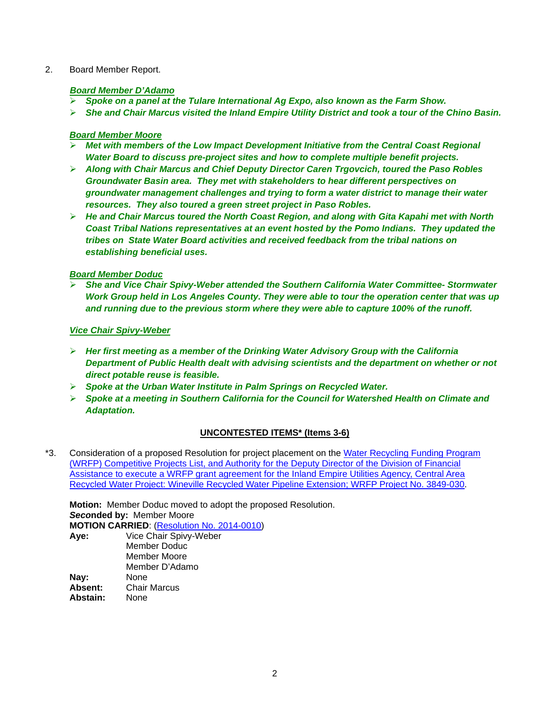#### 2. Board Member Report.

#### *Board Member D'Adamo*

- *Spoke on a panel at the Tulare International Ag Expo, also known as the Farm Show.*
- *She and Chair Marcus visited the Inland Empire Utility District and took a tour of the Chino Basin.*

#### *Board Member Moore*

- *Met with members of the Low Impact Development Initiative from the Central Coast Regional Water Board to discuss pre-project sites and how to complete multiple benefit projects.*
- *Along with Chair Marcus and Chief Deputy Director Caren Trgovcich, toured the Paso Robles Groundwater Basin area. They met with stakeholders to hear different perspectives on groundwater management challenges and trying to form a water district to manage their water resources. They also toured a green street project in Paso Robles.*
- *He and Chair Marcus toured the North Coast Region, and along with Gita Kapahi met with North Coast Tribal Nations representatives at an event hosted by the Pomo Indians. They updated the tribes on State Water Board activities and received feedback from the tribal nations on establishing beneficial uses.*

## *Board Member Doduc*

 *She and Vice Chair Spivy-Weber attended the Southern California Water Committee- Stormwater Work Group held in Los Angeles County. They were able to tour the operation center that was up and running due to the previous storm where they were able to capture 100% of the runoff.*

## *Vice Chair Spivy-Weber*

- *Her first meeting as a member of the Drinking Water Advisory Group with the California Department of Public Health dealt with advising scientists and the department on whether or not direct potable reuse is feasible.*
- *Spoke at the Urban Water Institute in Palm Springs on Recycled Water.*
- *Spoke at a meeting in Southern California for the Council for Watershed Health on Climate and Adaptation.*

# **UNCONTESTED ITEMS\* (Items 3-6)**

\*3. Consideration of a proposed Resolution for project placement on the [Water Recycling Funding Program](http://www.waterboards.ca.gov/board_info/agendas/2014/mar/030414_3_with_draft_res.pdf)  [\(WRFP\) Competitive Projects List, and Authority for the Deputy Director of the Division of Financial](http://www.waterboards.ca.gov/board_info/agendas/2014/mar/030414_3_with_draft_res.pdf)  Assistance to execute a [WRFP grant agreement for the Inland Empire Utilities Agency, Central Area](http://www.waterboards.ca.gov/board_info/agendas/2014/mar/030414_3_with_draft_res.pdf)  [Recycled Water Project: Wineville Recycled Water Pipeline Extension; WRFP Project No. 3849-030.](http://www.waterboards.ca.gov/board_info/agendas/2014/mar/030414_3_with_draft_res.pdf)

**Motion:** Member Doduc moved to adopt the proposed Resolution. *Seco***nded by:** Member Moore **MOTION CARRIED**: [\(Resolution No. 2014-0010\)](http://www.waterboards.ca.gov/board_decisions/adopted_orders/resolutions/2014/rs2014_0010.pdf) **Aye:** Vice Chair Spivy-Weber

|          | Member Doduc        |
|----------|---------------------|
|          | Member Moore        |
|          | Member D'Adamo      |
| Nay:     | None                |
| Absent:  | <b>Chair Marcus</b> |
| Abstain: | None                |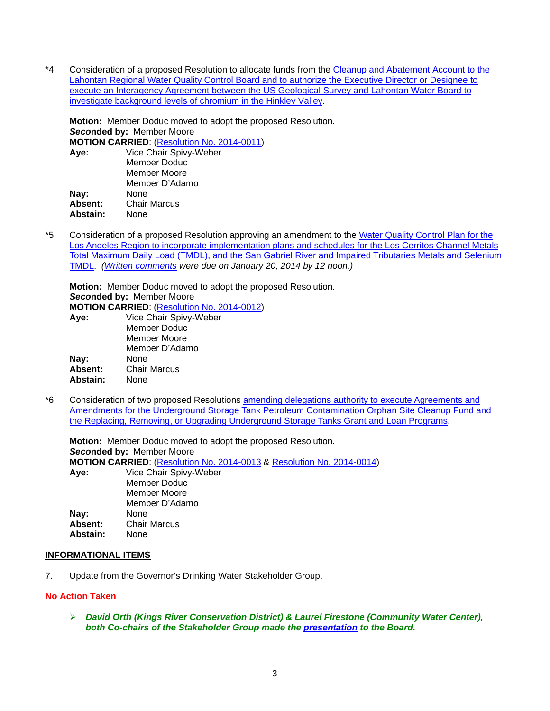\*4. Consideration of a proposed Resolution to allocate funds from the [Cleanup and Abatement Account to the](http://www.waterboards.ca.gov/board_info/agendas/2014/mar/030414_4_with_draft_res.pdf)  [Lahontan Regional Water Quality Control Board and to authorize the Executive Director or Designee to](http://www.waterboards.ca.gov/board_info/agendas/2014/mar/030414_4_with_draft_res.pdf)  [execute an Interagency Agreement between the US Geological Survey and Lahontan Water Board to](http://www.waterboards.ca.gov/board_info/agendas/2014/mar/030414_4_with_draft_res.pdf)  [investigate background levels of chromium in the Hinkley Valley.](http://www.waterboards.ca.gov/board_info/agendas/2014/mar/030414_4_with_draft_res.pdf)

**Motion:** Member Doduc moved to adopt the proposed Resolution. *Seco***nded by:** Member Moore

**MOTION CARRIED**: [\(Resolution No. 2014-0011\)](http://www.waterboards.ca.gov/board_decisions/adopted_orders/resolutions/2014/rs2014_0011.pdf)

| Aye:     | Vice Chair Spivy-Weber |
|----------|------------------------|
|          | Member Doduc           |
|          | Member Moore           |
|          | Member D'Adamo         |
| Nay:     | None                   |
| Absent:  | <b>Chair Marcus</b>    |
| Abstain: | None                   |
|          |                        |

\*5. Consideration of a proposed Resolution approving an amendment to the [Water Quality Control Plan for the](http://www.waterboards.ca.gov/board_info/agendas/2014/mar/030414_5_with_draft_res.pdf)  [Los Angeles Region to incorporate implementation plans and schedules for the Los Cerritos Channel Metals](http://www.waterboards.ca.gov/board_info/agendas/2014/mar/030414_5_with_draft_res.pdf)  [Total Maximum Daily Load \(TMDL\), and the San Gabriel River and Impaired Tributaries Metals and Selenium](http://www.waterboards.ca.gov/board_info/agendas/2014/mar/030414_5_with_draft_res.pdf)  [TMDL.](http://www.waterboards.ca.gov/board_info/agendas/2014/mar/030414_5_with_draft_res.pdf) *[\(Written comments](http://www.waterboards.ca.gov/public_notices/comments/los_cerritos/cmmnts012014/index.shtml) were due on January 20, 2014 by 12 noon.)*

**Motion:** Member Doduc moved to adopt the proposed Resolution. *Seco***nded by:** Member Moore **MOTION CARRIED**: [\(Resolution No. 2014-0012\)](http://www.waterboards.ca.gov/board_decisions/adopted_orders/resolutions/2014/rs2014_0012.pdf) **Aye:** Vice Chair Spivy-Weber Member Doduc Member Moore

| <u>INICITINGI INIUVIC</u> |
|---------------------------|
| Member D'Adamo            |
| None                      |
| <b>Chair Marcus</b>       |
| None                      |
|                           |

\*6. Consideration of two proposed Resolutions [amending delegations authority to execute Agreements and](http://www.waterboards.ca.gov/board_info/agendas/2014/mar/030414_6_with_draft_res.pdf)  [Amendments for the Underground Storage Tank Petroleum Contamination Orphan Site Cleanup Fund and](http://www.waterboards.ca.gov/board_info/agendas/2014/mar/030414_6_with_draft_res.pdf)  [the Replacing, Removing, or Upgrading Underground Storage Tanks Grant and Loan Programs.](http://www.waterboards.ca.gov/board_info/agendas/2014/mar/030414_6_with_draft_res.pdf)

**Motion:** Member Doduc moved to adopt the proposed Resolution. *Seco***nded by:** Member Moore **MOTION CARRIED**: [\(Resolution No. 2014-0013](http://www.waterboards.ca.gov/board_decisions/adopted_orders/resolutions/2014/rs2014_0013.pdf) & [Resolution No. 2014-0014\)](http://www.waterboards.ca.gov/board_decisions/adopted_orders/resolutions/2014/rs2014_0014.pdf) **Aye:** Vice Chair Spivy-Weber Member Doduc Member Moore Member D'Adamo **Nay:** None<br>**Absent:** Chair **Absent:** Chair Marcus Abstain:

## **INFORMATIONAL ITEMS**

7. Update from the Governor's Drinking Water Stakeholder Group.

## **No Action Taken**

 *David Orth (Kings River Conservation District) & Laurel Firestone (Community Water Center), both Co-chairs of the Stakeholder Group made the [presentation](http://www.waterboards.ca.gov/board_info/minutes/2014/mar/030414_7_stakeholder_presentation.pdf) to the Board.*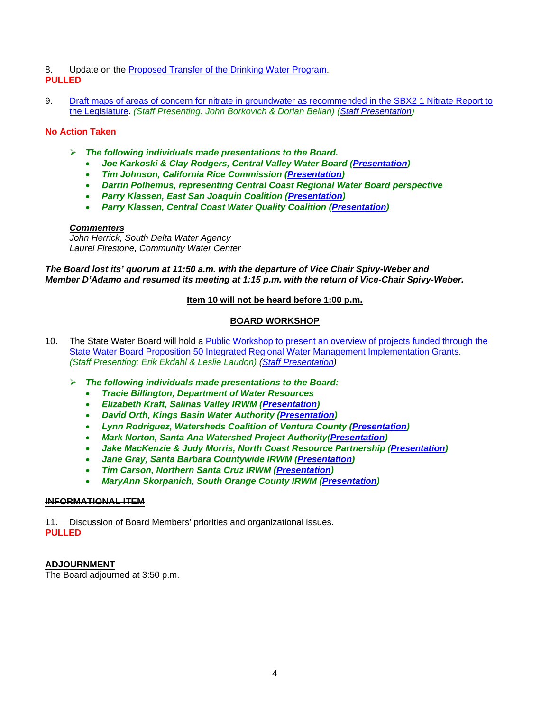## 8. Update on the [Proposed Transfer of the Drinking Water Program.](http://www.waterboards.ca.gov/board_info/agendas/2014/mar/030414_8.pdf) **PULLED**

9. [Draft maps of areas of concern for nitrate in groundwater as recommended in the SBX2 1 Nitrate Report to](http://www.waterboards.ca.gov/board_info/agendas/2014/mar/030414_9.pdf)  [the Legislature.](http://www.waterboards.ca.gov/board_info/agendas/2014/mar/030414_9.pdf) *(Staff Presenting: John Borkovich & Dorian Bellan) [\(Staff Presentation\)](http://www.waterboards.ca.gov/board_info/minutes/2014/mar/030414_9_staff_presentation.pdf)*

# **No Action Taken**

- *The following individuals made presentations to the Board.*
	- *Joe Karkoski & Clay Rodgers, Central Valley Water Board [\(Presentation\)](http://www.waterboards.ca.gov/board_info/minutes/2014/mar/030414_9_staff_presentation.pdf)*
	- *Tim Johnson, California Rice Commission [\(Presentation\)](http://www.waterboards.ca.gov/board_info/minutes/2014/mar/030414_9_johnson_presentation.pdf)*
	- *Darrin Polhemus, representing Central Coast Regional Water Board perspective*
	- *Parry Klassen, East San Joaquin Coalition [\(Presentation\)](http://www.waterboards.ca.gov/board_info/minutes/2014/mar/030414_9_esjv_klassen_presentation.pdf)*
	- *Parry Klassen, Central Coast Water Quality Coalition [\(Presentation\)](http://www.waterboards.ca.gov/board_info/minutes/2014/mar/030414_9_central_coast_klassen_presentation.pdf)*

## *Commenters*

*John Herrick, South Delta Water Agency Laurel Firestone, Community Water Center*

*The Board lost its' quorum at 11:50 a.m. with the departure of Vice Chair Spivy-Weber and Member D'Adamo and resumed its meeting at 1:15 p.m. with the return of Vice-Chair Spivy-Weber.*

# **Item 10 will not be heard before 1:00 p.m.**

# **BOARD WORKSHOP**

- 10. The State Water Board will hold a [Public Workshop to present an overview of projects funded through the](http://www.waterboards.ca.gov/board_info/agendas/2014/mar/030414_10.pdf)  [State Water Board Proposition 50 Integrated Regional Water Management Implementation Grants.](http://www.waterboards.ca.gov/board_info/agendas/2014/mar/030414_10.pdf) *(Staff Presenting: Erik Ekdahl & Leslie Laudon) [\(Staff Presentation\)](http://www.waterboards.ca.gov/board_info/minutes/2014/mar/030414_10_staff_presentation.pdf)*
	- *The following individuals made presentations to the Board:*
		- *Tracie Billington, Department of Water Resources*
		- *Elizabeth Kraft, Salinas Valley IRWM [\(Presentation\)](http://www.waterboards.ca.gov/board_info/minutes/2014/mar/030414_10_salinas_valley_presentation.pdf)*
		- *David Orth, Kings Basin Water Authority [\(Presentation\)](http://www.waterboards.ca.gov/board_info/minutes/2014/mar/030414_10_kings_basin_presentation.pdf)*
		- *Lynn Rodriguez, Watersheds Coalition of Ventura County [\(Presentation\)](http://www.waterboards.ca.gov/board_info/minutes/2014/mar/030414_10_ventura_presentation.pdf)*
		- *Mark Norton, Santa Ana Watershed Project Authority[\(Presentation\)](http://www.waterboards.ca.gov/board_info/minutes/2014/mar/030414_10_sawpa_presentation.pdf)*
		- *Jake MacKenzie & Judy Morris, North Coast Resource Partnership [\(Presentation\)](http://www.waterboards.ca.gov/board_info/minutes/2014/mar/030414_10_ncoast_presentaton.pdf)*
		- *Jane Gray, Santa Barbara Countywide IRWM [\(Presentation\)](http://www.waterboards.ca.gov/board_info/minutes/2014/mar/030414_10_santa_barbara_presentation.pdf)*
		- *Tim Carson, Northern Santa Cruz IRWM [\(Presentation\)](http://www.waterboards.ca.gov/board_info/minutes/2014/mar/030414_10_santa_cruz_presentation.pdf)*
		- *MaryAnn Skorpanich, South Orange County IRWM [\(Presentation\)](http://www.waterboards.ca.gov/board_info/minutes/2014/mar/030414_10_south_orange_county_presentation.pdf)*

## **INFORMATIONAL ITEM**

11. Discussion of Board Members' priorities and organizational issues. **PULLED**

**ADJOURNMENT** The Board adjourned at 3:50 p.m.